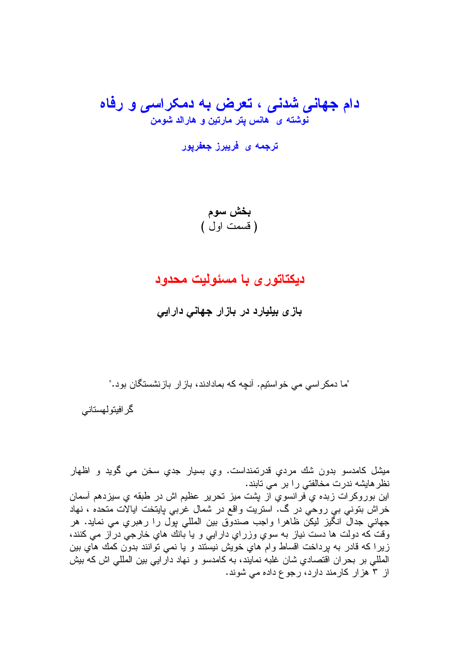# دام جهانی شدنی ، تعرض به دمکراسی و رفاه نوشته ی هانس پتر مارتین و هارالد شومن

## دیکتاتور ی با مسئولیت محدود

بازی بیلیارد در بازار جهانی دارایی

"ما دمکر اسی می خواستیم. آنچه که بمادادند، باز ار بازنشستگان بود."

گر افیتو لهستانی

ميشل كامدسو بدون شك مردي قدرتمنداست. وي بسيار جدي سخن مي گويد و اظهار نظر هايشه ندرت مخالفتي را بر مي تابند. این بوروکرات زبده ی فرانسوی از بشت میز تحریر عظیم اش در طبقه ی سیزدهم آسمان خراش بنونبي بي روحي در گ. استريت واقع در شمال غربي بايتخت ايالات متحده ، نهاد جهانی جدالٌ انگیز لیکن ظاهرا واجب صندوّق بین المللی بول را رهبری می نماید. هر وقت که دولت ها دست نیاز به سوی وزرای دارایی و یا بانك های خارجی در از می كنند، زیرا که قادر به پرداخت اقساط وام های خویش نیستند و یا نمی توانند بدون کمك های بین المللي بر بحران اقتصادي شان غلبه نمايند، به كامدسو و نهاد دار ايي بين المللي اش كه بيش از ۳ هزار کارمند دارد، رجوع داده می شوند.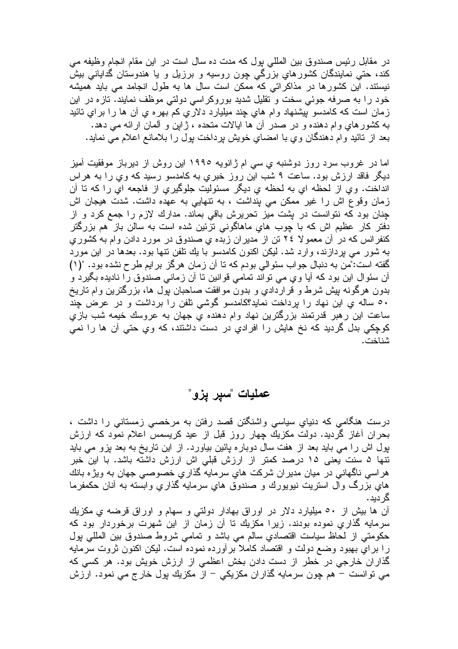در مقابل رئیس صندوق بین المللی پول که مدت ده سال است در این مقام انجام وظیفه می کند، حتی نمایندگان کشورهایِ بزرگی چون روسیه و برزیل و یا هندوستان گدایانی بیش نیستند. این کشورها در مذاکراتی که ممکن است سال ها به طول انجامد می باید همیشه خود را به صرفه جوئبي سخت و تقليل شديد بوروكراسي دولتي موظف نمايند. تازه در اين زمان است که کامدسو بيشنهاد وام هاي چند ميليارد دلاري کم بهره ي أن ها را براي نائيد به کشورهای وام دهنده و در صدر آن ها ایالات متحده ، ژاین و ألمان ارائه می دهد. بعد از نائید وام دهندگان وی با امضای خویش برداخت بول را بلامانع اعلام می نماید.

اما در غروب سرد روز دوشنبه ی سی ام ژانویه ۱۹۹۰ این روش از دیرباز موفقیت امیز دیگر فاقد ارزش بود. ساعت ۹ شب این روز خبریِ به کامدسو رسید که ویِ را به هراس انداخت. وي از لحظه اي به لحظه ي ديگر مسئوليت جلوگيري از فاجعه اي را كه نا آن زمان وقوع اش را غیر ممکن می پنداشت ، به نتهایی به عهده داشت. شدت هیجان اش چنان بود که نتوانست در بشت میز تحریرش باقی بماند. مدارك لازم را جمع کرد و از دفتر کار عظیم اش که با چوب هایِ ماهاگونی تزئین شده است به سالن باز هم بزرگتر کنفر انس که در اُن معمو لا ٢٤ تن از مدير ان زبده ي صندوق در مورد دادن و ام به کشور ي به شور می بردازند، وارد شد. لیکن اکنون کامدسو با یك تلفن نتها بود. بعدها در این مورد گفته است:"من به دنبال جواب سئوالی بودم که نا ان زمان هرگز برایم طرح نشده بود. "(١) آن سئوال این بود که آیا وی می تواند تمامی قوانین تا آن زمانی صندوق را نادیده بگیرد و بدون هرگونه بپش شرط و قراردادي و بدون موافقت صاحبان پول ها، بزرگترين وام تاريخ ۰۰ ساله ی این نهاد را برداخت نماید؟کامدسو گوشی نلفن را برداشت و در عرض چند ساعت این رهبر قدرنمند بزرگترین نهاد وام دهنده یِ جهان به عروسك خیمه شب بازیِ کوچکی بدل گردید که نخ هایش را افرادی در دست داشتند، که وی حتی آن ها را نمی شناخت.

### عمليات "سير يزو"

درست هنگامی که دنیایِ سیاسی واشنگتن قصد رفتن به مرخصی زمستانی را داشت ، بحران أغاز گردید. دولت مکزیك چهار روز قبل از عید کریسمس اعلام نمود که ارزش پول اش را مي بايد بعد از هفت سال دوبار ه پائين بياورد. از اين تاريخ به بعد پزو مي بايد تنها ۵ سنت یعنی ۱۵ درصد کمتر از ارزش قبلی اش ارزش داشته باشد. با این خبر هر اسی ناگهانی در میان مدیر ان شرکت هایِ سرمایه گذاریِ خصوصی جهان به ویژه بانك هایِ بزرگ وال استریت نیویورك و صندوق هایِ سرمایه گذاریِ وابسته به أنان حكمفرما گر دېد.

آن ها بیش از ٥٠ میلیارد دلار در اوراق بهادار دولتی و سهام و اوراق قرضه ی مکزیك سرمایه گذاریِ نموده بودند. زیرا مکزیك تا آن زمان از این شهرت برخوردار بود كه حکومتی از لحاظ سیاست اقتصادی سالم می باشد و تمامی شروط صندوق بین المللی بول را براي بهبود وضع دولت و اقتصاد كاملا برأورده نموده است. ليكن اكنون ثروت سرمايه گذاران خارجی در خطر از دست دادن بخش اعظمی از ارزش خویش بود. هر کسی که می نوانست – هم چون سرمایه گذاران مکزیکی – از مکزیك پول خارج می نمود. ارزش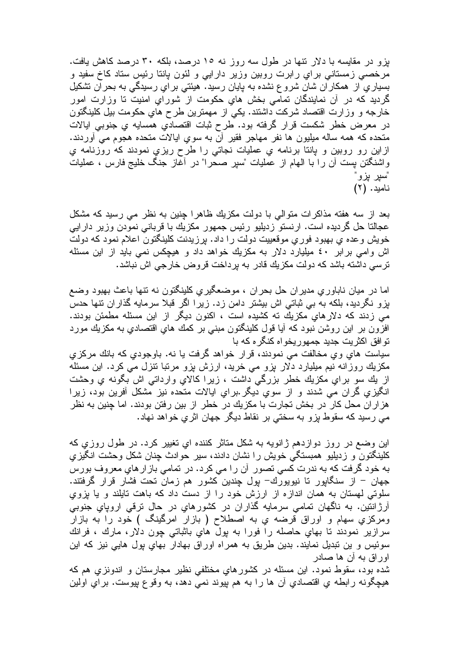بزو در مقایسه با دلار نتها در طول سه روز نه ۱۰ درصد، بلکه ۳۰ درصد کاهش یافت. مرخصبي زمستاني براي رابرت روبين وزير دارايي و لئون يانتا رئيس ستاد كاخ سفيد و بسیاریِ از همکار ان شان شرو ع نشده به پایان رسید. هیئتی بر ایِ رسیدگی به بحر ان نشکیل گردید که در آن نمایندگان تمامی بخش هایِ حکومت از شورایِ امنیت تا وزارت امور خارجه و وزارت اقتصاد شركت داشتند. يكي از مهمترين طرح هاي حكومت بيل كلينگتون در معرض خطر شكست قرار گرفته بود. طرح ثبات اقتصادي همسايه ي جنوبي ايالات متحده که همه ساله میلیون ها نفر مهاجر فقیر آن به سوی ایالات متحده هجوم می آوردند. ازاین رو روبین و پانتا برنامه ي عملیات نجاتی را طرح ریزي نمودند که روزنامه ي واشنگتن بست أن را با الهام از عملیات "سیر صحرا" در أغاز جنگ خلیج فارس ، عملیات "سير بزو نامید. (۲)

بعد از سه هفته مذاکرات متوالی با دولت مکزیك ظاهرا جنین به نظر می رسید که مشکل عجالتا حل گردیده است. ارنستو زدیلیو رئیس جمهور مکزیك با قربانی نمودن وزیر دارایی خویش وعده ی بهبود فوری موقعییت دولت را داد. برزیدنت کلینگتون اعلام نمود که دولت اش وامی برابر ٤٠ ميليارد دلار به مکزيك خواهد داد و هيچکس نمی بايد از اين مسئله ترسی داشته باشد که دولت مکزیك قادر به برداخت قروض خارجی اش نباشد.

اما در میان ناباوری مدیران حل بحران ، موضعگیری کلینگتون نه تنها باعث بهبود وضع بزو نگردید، بلکه به بی ثباتی اش بیشتر دامن زد. زیرا اگر قبلا سرمایه گذاران نتها حدس مي زدند كه دلارهاي مكزيك ته كشيده است ، اكنون ديگر از اين مسئله مطمئن بودند. افزون بر این روشن نبود که آیا قول کلینگتون مبنی بر کمك های اقتصادی به مکزیك مورد توافق اکثریت جدید جمهوریخواه کنگره که با

سياست هاي وي مخالفت مي نمودند، قرار خواهد گرفت يا نه. باوجودي كه بانك مركزي مکزیك روزانه نیم میلیارد دلار بزو می خرید، ارزش بزو مرتبا تنزل می كرد. این مسئله از بك سو براي مكزيك خطر بزرگي داشت ، زيرا كالاي وارداني اش بگونه ي وحشت انگیزی گران می شدند و از سوی دیگر برای ایالات متحده نیز مشکل آفرین بود، زیرا هزاران محل کار در بخش تجارت با مکزیك در خطر از بین رفتن بودند. اما چنین به نظر می رسید که سقوط بزو به سختی بر نقاط دیگر جهان اثریِ خواهد نهاد.

این وضع در روز دوازدهم ژانویه به شکل متاثر کننده ای تغییر کرد. در طول روزی که کلینگنون و زدیلیو همبستگی خویش را نشان دادند، سیر حوادث چنان شکل وحشت انگیزی به خود گرفت که به ندرت کسی تصور ِ آن را می کرد. در تمامی باز ارهای معروف بورس جهان – از سنگاپور تا نیویورك– پول چندین كشور هم زمان تحت فشار قرار گرفتند. سلوتی لهستان به همان اندازه از ارزش خود را از دست داد که باهت تابلند و یا بزوی آرژانتین. به ناگهان تمامی سرمایه گذاران در کشورهایِ در حال ترقی اروپایِ جنوبی ومرکزی سهام و اوراق قرضه ی به اصطلاح ( بازار امرگینگ ) خود را به بازار سرازير نمودند نا بهاي حاصله را فورا به پول هاي باثباتي چون دلار، مارك ، فرانك سوئیس و بن نبدیل نمایند. بدین طریق به همراه اوراق بهادار بهای پول هایی نیز که این اوراق به أن ها صادر

شده بود، سقوط نمود. این مسئله در کشورهایِ مختلفی نظیر مجارستان و اندونزی هم که هيچگونه رابطه ي اقتصادي اُن ها را به هم بپوند نمي دهد، به وقوع پپوست. براي اولين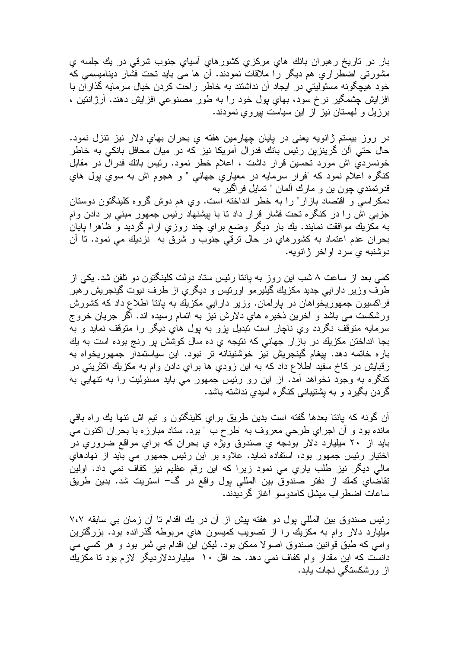بار در تاریخ رهبران بانك های مركزی كشورهای أسیای جنوب شرقی در بك جلسه ی مشورتی اضطراریِ هم دیگر را ملاقات نمودند. أن ها می باید تحت فشار دینامیسمی که خود هیچگونه مسئولیتی در ایجاد آن نداشتند به خاطر راحت کردن خیال سرمایه گذاران با افزایش چشمگیر نرخ سود، بهایِ پول خود را به طور مصنوعیِ افزایش دهند. آرژانتین ، برزیل و لمهستان نیز از این سیاست بپروي نمودند.

در روز بیستم ژانویه یعنی در بایان چهارمین هفته ی بحران بهای دلار نیز نتزل نمود. حال حتی آلن گرینزین رئیس بانك فدرال آمریكا نیز كه در میان محافل بانكی به خاطر خونسردی اش مورد تحسین قرار داشت ، اعلام خطر نمود. رئیس بانك فدرال در مقابل كنگره اعلام نمود كه "فرار سرمايه در معياري جهاني " و هجوم اش به سوي پول هاي قدرنمندی چون بن و مارك ألمان " نمایل فراگیر به

دمکر اسی و اقتصاد بازار" را به خطر انداخته است. وی هم دوش گروه کلینگتون دوستان جزبی اش را در کنگره تحت فشار قرار داد نا با بیشنهاد رئیس جمهور مبنی بر دادن وام به مکزیك موافقت نمایند. یك بار دیگر وضع براي چند روزي آرام گردید و ظاهرا پایان بحران عدم اعتماد به كشورهاي در حال ترقّي جنوب و شرق به نزديك مي نمود. تا آن دوشنبه ي سرد اواخر ژانويه.

کمبی بعد از ساعت ۸ شب این روز به بانتا رئیس ستاد دولت کلینگتون دو نلفن شد. یکی از طرف وزیر دارایی جدید مکزیك گیلیرمو اورنیس و دیگری از طرف نیوت گینجریش رهبر فراکسیون جمهوریخواهان در بارلمان. وزیر دارایی مکزیك به بانتا اطلاع داد كه كشورش ورشکست می باشد و آخرین ذخیره های دلارش نیز به اتمام رسیده اند. اگر جریان خروج سرمایه متوقف نگردد وي ناچار است تبدیل بزو به پول هاي دیگر را متوقف نماید و به بجا انداختن مكزيك در بازار جهاني كه نتيجه ي ده سال كوشش پر رنج بوده است به يك باره خاتمه دهد. بیغام گینجریش نیز خوشنینانه تر نبود. این سیاستمدار جمهوریخواه به رقبایش در کاخ سفید اطلاع داد که به این زودیِ ها برایِ دادن وام به مکزیك اکثریتی در کنگره به وجود نخواهد آمد. از این رو رئیس جمهور می باید مسئولیت را به نتهایی به گردن بگیرد و به بِشتیبانی کنگره امیدی نداشته باشد.

أن گونه که بانتا بعدها گفته است بدین طریق برای کلینگتون و تیم اش نتها بك راه باقی مانده بود و أن اجراي طرحي معروف به "طرح ب " بود. سناد مبارزه با بحران اكنون مي باید از ۲۰ میلیارد دلار بودجه ی صندوق ویژه ی بحران که برای مواقع ضروری در اختیار رئیس جمهور بود، استفاده نماید. علاوه بر این رئیس جمهور می باید از نهادهای مالی دیگر نیز طلب یاری می نمود زیرا که این رقم عظیم نیز کفاف نمی داد. اولین تقاضاي كمك از دفتر صندوق بين المللي بول واقع در گ− استريت شد. بدين طريق ساعات اضطر اب میشل کامدوسو آغاز گر دبدند.

رئیس صندوق بین المللی بول دو هفته بیش از آن در یك اقدام تا آن زمان بی سابقه ۷،۷ میلیارد دلار وام به مکزیك را از نصویب كمیسون های مربوطه گذرانده بود. بزرگترین وامی که طبق قوانین صندوق اصولا ممکن بود. لیکن این اقدام بی ثمر بود و هر کسی می دانست که این مقدار وام کفاف نمی دهد. حد اقل ۱۰ میلیارددلاردیگر لازم بود تا مکزیك از ور شکستگی نجات بابد.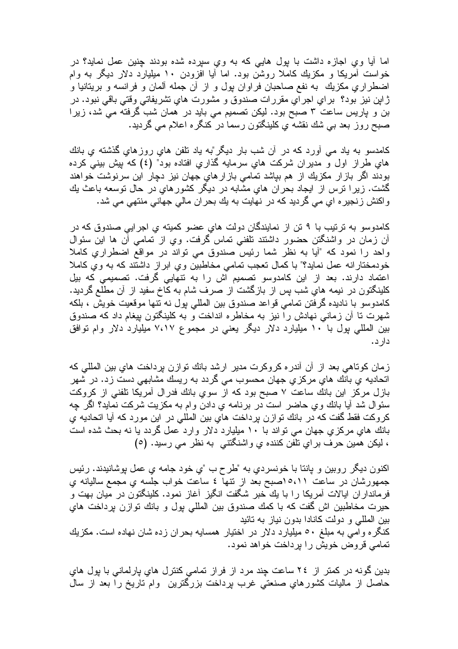اما أبا وی اجازه داشت با بول هایی که به وی سیرده شده بودند جنین عمل نماید؟ در خواست اّمریکا و مکزیك کاملا روشن بود. اما اّیا افزودن ۱۰ میلیارد دلار دیگر به وام اضطراري مكزيك به نفع صاحبان فراوان بول و از أن جمله ألمان و فرانسه و بريتانيا و ژاپن نيز بود؟ براي اجراي مقررات صندوق و مشورت هاي نشريفاتي وقتي باقي نبود. در بن و پاریس ساعت ۳ صبح بود. لیکن تصمیم می باید در همان شب گرفته می شد، زیرا صبح روز بعد بـي شك نقشه ي كلينگتون رسما در كنگره اعلام مـي گرديد.

کامدسو به یاد می آورد که در آن شب بار دیگر"به یاد نلفن هایِ روزهایِ گذشته یِ بانك هایِ طراز اول و مدیران شرکت هایِ سرمایه گذاریِ افتاده بود" (٤) که بیش بینی کرده بودند اگر بازار مکزیك از هم بپاشد تمامی بازارهاي جهان نیز دچار این سرنوشت خواهند گشت. زیرا نرس از ایجاد بحران هایِ مشابه در دیگر کشورهایِ در حال نوسعه باعث یك واكنش زنجيره اي مي گرديد كه در نهايت به يك بحران مالي جهاني منتهي مي شد.

کامدوسو به ترتیب با ۹ تن از نمایندگان دولت های عضو کمیته ی اجرایی صندوق که در أن زمان در واشنگتن حضور داشتند تلفنی تماس گرفت. وی از تمامی أن ها این سئوال واحد را نمود که "آیا به نظر شما رئیس صندوق می نواند در مواقع اضطراریِ کاملا خودمختارانه عمل نماید؟" با کمال نعجب نمامی مخاطبین وی ابراز داشتند که به وی کاملا اعتماد دارند. بعد از این کامدوسو نصمیم اش را به نتهایی گرفت. نصمیمی که بیل کلینگتون در نیمه های شب پس از بازگشت از صرف شام به کاخ سفید از آن مطلع گردید. كامدوسو با ناديده گرفتن تمامي قواعد صندوق بين المللي بول نه تتها موقعيت خويش ، بلكه شهرت تا آن زمانی نهادش را نیز به مخاطره انداخت و به کلینگتون بیغام داد که صندوق بین المللی پول با ۱۰ میلیارد دلار دیگر یعنی در مجموع ۷،۱۷ میلیارد دلار وام توافق دارد.

زمان كوتاهي بعد از أن أندره كروكرت مدير ارشد بانك توازن برداخت هاي بين المللي كه اتحادیه یِ بانك هایِ مركزیِ جهانِ محسوب می گردد به ریسك مشابهی دست زد. در شهر بازل مركز اين بانك ساعت ٧ صبح بود كه از سوي بانك فدرال أمريكا نلفني از كروكت سئوال شد آیا بانك وي حاضر است در برنامه ي دادن وام به مكزيت شركت نمايد؟ اگر چه كروكت فقط گفت كه در بانك نوازن برداخت هاى بين المللي در اين مورد كه آيا اتحاديه ي بانك هاي مركزي جهان مي نواند با ١٠ ميليارد دلار وارد عمل گردد يا نه بحث شده است ، لیکن همین حرف برای نلفن کننده ی واشنگتنی به نظر می رسید. (٥)

اكنون ديگر روبين و يانتا با خونسردي به "طرح ب "ي خود جامه ي عمل بوشانيدند. رئيس جمهورشان در ساعت ٥،١١محميح بعد از نتها ٤ ساعت خواب جلسه ي مجمع ساليانه ي فرمانداران ایالات آمریکا را با یك خبر شگفت انگیز أغاز نمود. كلینگتون در میان بهت و حيرت مخاطبين اش گفت كه با كمك صندوق بين المللي پول و بانك نوازن پرداخت هاي بين المللي و دولت كانادا بدون نياز به تائيد کنگره و آمی به مبلغ ٥٠ میلیارد دلار در اختیار همسایه بحران زده شان نهاده است. مکزیك تمامی قروض خویش را برداخت خواهد نمود.

بدین گونه در کمتر از ۲٤ ساعت چند مرد از فراز تمامی کنترل های بارلمانی با بول های حاصل از ماليات كشورهاي صنعتي غرب برداخت بزرگترين ۖ وام ناريخ را بعد از سال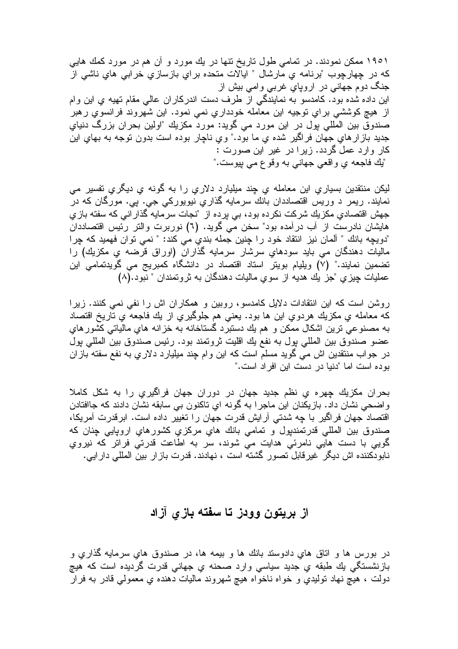۱۹۰۱ ممکن نمودند. در تمامی طول تاریخ نتها در یك مورد و آن هم در مورد كمك هایی كه در چهارچوب "برنامه ي مارشال " ايالات متحده براي بازسازي خرابي هاي ناشي از جنگ دوم جهانـي در اروپاي غربـي وامـي بيش از این داده شده بود. کامدسو به نمایندگی از طرف دست اندرکاران عالی مقام نهیه ی این وام از هيچ كوششي براي نوجيه اين معامله خودداري نمي نمود. اين شهروند فرانسوي رهبر صندوق بين المللي پول در اين مورد مي گويد: مورد مكزيك "اولين بحران بزرگ دنياي جدید باز ار هایِ جهان فراگیر شده یِ ما بود." ویِ ناچار بوده است بدون نوجه به بهایِ این كار وارد عمل گردد. زيرا در غير اين صورت : "يك فاجعه ي واقعي جهاني به وقو ع مي بپوست."

لیکن منتقدین بسیاری این معامله ی چند میلیارد دلاری را به گونه ی دیگری تفسیر می نمایند. ریمر د وریس اقتصاددان بانك سرمایه گذاریِ نیویورکی جی. پی. مورگان که در جهش اقتصادی مکزیك شركت نكرده بود، بی برده از "نجات سرمایه گذار انی كه سفته بازی هایشان نادرست از آب درآمده بود" سخن می گوید. (٦) نوربرت والتر رئیس اقتصاددان "دويچه بانك " ألمان نيز انتقاد خود ر ا چنين جمله بندي مي كند: " نمي توان فهميد كه چر ا ماليات دهندگان مي بايد سودهاي سرشار سرمايه گذاران (اوراق قرضه ي مکزيك) را تضمین نمایند." (۷) ویلیام بویتر استاد اقتصاد در دانشگاه کمبریج می گویدتمامی این عمليات چيزي "جز يك هديه از سوي ماليات دهندگان به نروتمندان " نبود.(٨)

روشن است که این انتقادات دلایل کامدسو، روبین و همکاران اش را نفی نمی کنند. زیرا كه معامله ي مكزيك هردوي اين ها بود. يعني هم جلوگيري از يك فاجعه ي تاريخ اقتصاد به مصنوعي نرين اشكال ممكن و هم يك دستبرد گستاخانه به خزانه هاي مالياتي كشور هاي عضو صندوق بين المللي بول به نفع يك اقليت ثروتمند بود. رئيس صندوق بين المللي بول در جواب منتقدین اش می گوید مسلم است که این وام چند میلیارد دلاریِ به نفع سفته بازان بو ده است اما "دنیا در ادست این افر اد است."

بحران مكزيك چهره ي نظم جديد جهان در دوران جهان فراگيري را به شكل كاملا واضحي نشان داد. بازيكنان اين ماجرا به گونه اي تاكنون بي سابقه نشان دادند كه جاافتادن اقتصاد جهان فراگیر با چه شدتی آر ایش قدرت جهان را تغییر داده است. ابرقدرت آمریکا، صندوق بين المللي قدرتمندپول و تمامي بانك هاي مركزي كشورهاي اروپايي چنان كه گویی با دست هایی نامرئی هدایت می شوند، سر به اطاعت قدرتی فراتر که نیروي نابودكننده اش ديگر غيرقابل نصور گشته است ، نهادند. قدرت بازار بين المللي دارايي.

#### از بريتون وودز تا سفته بازي آزاد

در بورس ها و اتاق های دادوستد بانك ها و بیمه ها، در صندوق های سرمایه گذاری و بازنشستگی بِك طبقه ي جديد سياسي وارد صحنه ي جهاني قدرت گرديده است كه هيچ دولت ، هیچ نهاد تولیدی و خواه ناخواه هیچ شهروند مالیات دهنده ی معمولی قادر به فرار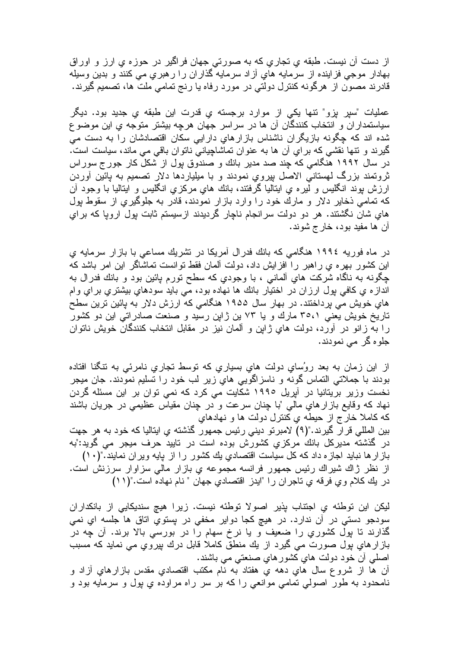از دست آن نیست. طبقه ی تجاری که به صورتی جهان فراگیر در حوزه ی ارز و اوراق بهادار موجى فزاينده از سرمايه هاي أزاد سرمايه گذاران را رهبري مى كنند و بدين وسيله قادرند مصون از هرگونه کنترل دولتی در مورد رفاه یا رنج تمامی ملت ها، تصمیم گیرند.

عملیات "سیر بزو" نتها یکی از موارد برجسته ی قدرت این طبقه ی جدید بود. دیگر سیاستمداران و انتخاب کنندگان آن ها در سراسر جهان هرچه بیشتر متوجه یِ این موضوع شده اند که چگونه بازیگران ناشناس بازارهای دارایی سکان اقتصادشان را به دست می گیرند و نتها نقشی که برایِ آن ها به عنوان نماشاچیانی ناتوان باقی می ماند، سیاست است. در سال ۱۹۹۲ هنگامی که چند صد مدیر بانك و صندوق بول از شكل كار جورج سوراس ثروتمند بزرگ لمهستانی الاصل بپروي نمودند و با میلیاردها دلار نصمیم به پائین أوردن ارزش بوند انگلیس و لیره ی ایتالیا گرفتند، بانك هایِ مركزیِ انگلیس و ایتالیا با وجود آن که تمامی ذخایر دلار و مارك خود را وارد بازار نمودند، قادر به جلوگیری از سقوط بول های شان نگشتند. هر دو دولت سرانجام ناچار گردیدند ازسیستم ثابت بول اروپا که برای ان ها مفيد بود، خارج شوند.

در ماه فوریه ١٩٩٤ هنگامی که بانك فدر ال آمریکا در نشریك مساعی با باز ار سرمایه ی این کشور بهر م ی راهبر ۱٫ افز ایش داد، دولت آلمان فقط توانست تماشاگر این امر باشد که چگونه به ناگاه شرکت های آلمانی ، با وجودی که سطح نورم بائین بود و بانك فدرال به انداز ہ ی کافی بول ارزان در اختیار بانك ها نهاده بود، می باید سودهای بیشتری برای وام هاي خويش مي پرداختند. در بهار سال ۱۹۵۵ هنگامي كه ارزش دلار به پائين ترين سطح تاریخ خویش یعنی ۳۰،۱ مارك و یا ۷۳ بن ژابن رسید و صنعت صادراتی این دو كشور را به زانو در أورد، دولت هاي ژاپن و ألمان نيز در مقابل انتخاب كنندگان خويش ناتوان جلو ہ گر ۔مے نمو دند۔

از این زمان به بعد روُسای دولت های بسیاری که نوسط نجاری نامرئی به ننگنا افتاده بودند با جملاتي التماس گونه و ناسزاگويي هاي زير لب خود را تسليم نمودند. جان ميجر نخست وزیر بریتانیا در آپریل ۱۹۹۰ شکایت می کرد که نمی توان بر این مسئله گردن نهاد که وقایع باز ارهای مالی "با چنان سرعت و در چنان مقیاس عظیمی در جریان باشند كه كاملا خارج از حيطه ي كنترل دولت ها و نهادهاي بین المللی قرآر گیرند."(۹) لامبرنو دینی رئیس جمهور گذشته یِ ایتالیا که خود به هر جهت در گذشته مدیرکل بانك مرکزی کشورش بوده است در تایید حرف میجر می گوید:"به باز ار ها نباید اجازه داد که کل سیاست اقتصادیِ یك کشور را از پایه ویران نمایند."(١٠) از نظر ژاك شيراك رئيس جمهور فرانسه مجموعه ي بازار مالي سزاوار سرزنش است. در يك كلام وي فرقه ي تاجران را "ايدز اقتصادي جهان " نام نهاده است."(١١)

ليكن اين توطئه ي اجتناب پذير اصولا توطئه نيست. زيرا هيچ سنديكايي از بانكداران سودجو دستي در آن ندارد. در هيچ کجا دواير مخفي در پستوي اتاق ها جلسه اي نمي گذارند تا پول کشوري را ضعيف و يا نرخ سهام را در بورسي بالا برند. آن چه در بازارهاي بول صورت مي گيرد از يك منطق كاملا قابل درك بپروي مي نمايد كه مسبب اصلی أن خود دولت های کشور های صنعتی می باشند. أن ها از شروع سال هاي دهه ي هفتاد به نام مكتب اقتصادي مقدس بازارهاي أزاد و

نامحدود به طور اصولی تمامی موانعی را که بر سر راه مراوده ی بول و سرمایه بود و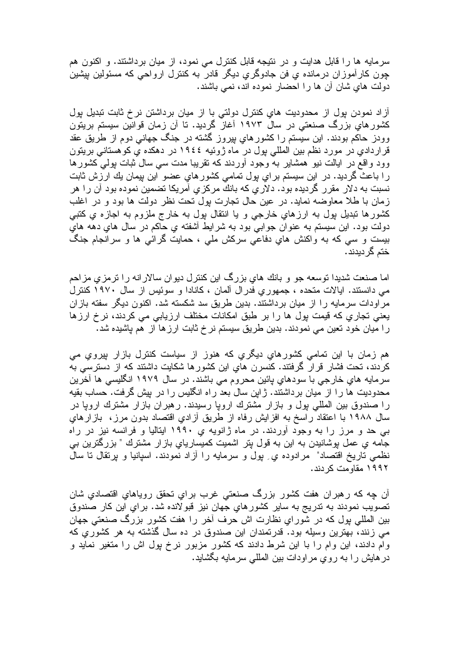سرمایه ها را قابل هدایت و در نتیجه قابل کنترل می نمود، از میان برداشتند. و اکنون هم چون کار آموزان درمانده ی فن جادوگری دیگر قادر به کنترل ارواحی که مسئولین بیشین دولت های شان آن ها را احضار نموده اند، نمی باشند.

آزاد نمودن پول از محدودیت های کنترل دولتی با از میان برداشتن نرخ ثابت تبدیل پول کشورهای بزرگ صنعتی در سال ۱۹۷۳ آغاز گردید. تا آن زمان قوانین سیستم بریتون وودز حاکم بودند. این سیستم را کشورهای بیروز گشته در جنگ جهانی دوم از طریق عقد قراردادي در مورد نظم بين المللي پول در ماه ژوئيه ١٩٤٤ در دهكده ي كوهستاني بريتون وود واقع در ایالت نیو همشایر به وجود آوردند که نقریبا مدت سی سال ثبات بولمی کشورها را باعث گردید. در این سیستم براي پول تمامی كشورهاي عضو این پیمان یك ارزش ثابت نسبت به دلار مقرر گردیده بود. دلاریِ که بانك مرکزیِ امریکا تضمین نموده بود آن را هر زمان با طلا معاوضه نماید. در عین حال نجارت بول نحت نظر دولت ها بود و در اغلب کشورها تبدیل بول به ارزهای خارجی و یا انتقال بول به خارج ملزوم به اجازه ی کتبی دولت بود. اين سيستم به عنوان جوابي بود به شرايط أشفته ي حاكم در سال هاي دهه هاي بیست و سی که به واکنش های دفاعی سرکش ملی ، حمایت گرائی ها و سرانجام جنگ ختم گر دیدند .

اما صنعت شدیدا توسعه جو و بانك های بزرگ این كنترل دیوان سالارانه را ترمزی مزاحم می دانستند. ایالات متحده ، جمهوریِ فدرال آلمان ، کانادا و سوئیس از سال ۱۹۷۰ کنترل مراودات سرمایه را از میان برداشتند. بدین طریق سد شکسته شد. اکنون دیگر سفته بازان بعنی تجاری که قیمت بول ها را بر طبق امکانات مختلف ارزیابی می کردند، نرخ ارزها را میان خود تعین می نمودند. بدین طریق سیستم نرخ ثابت ارزها از هم پاشیده شد.

هم زمان با این تمامی کشورهای دیگری که هنوز از سیاست کنترل بازار بپروی می کردند، تحت فشار قرار گرفتند. کنسرن های این کشورها شکایت داشتند که از دسترسی به سرمایه هاي خارجي با سودهاي پائين محروم مي باشند. در سال ۱۹۷۹ انگلیسی ها آخرین محدودیت ها را از میان برداشتند. ژاپن سال بعد راه انگلیس را در بیش گرفت. حساب بقیه را صندوق بین المللی بول و بازار مشترك اروپا رسیدند. رهبران بازار مشترك اروپا در سال ۱۹۸۸ با اعتقاد ریسخ به افزیش رفاه از طریق آزادی اقتصاد بدون مرز، بازیارهای بی حد و مرز را به وجود اوردند. در ماه ژانویه یِ ۱۹۹۰ ایتالیا و فرانسه نیز در راه جامه ي عمل پوشانيدن به اين به قول پتر اشميت كميسارياي بازار مشترك " بزرگترين بي نظمی تاریخ اقتصاد" ً مرادوده ی ِ بول و سرمایه را ازاد نمودند. اسپانیا و برنقال تا سال ۱۹۹۲ مقاومت کر دند.

ان چه که رهبران هفت کشور بزرگ صنعتی غرب برای تحقق رویاهای اقتصادیِ شان تصويب نمودند به ندريج به ساير كشورهاي جهان نيز قبولانده شد. براي اين كار صندوق بین المللی بول که در شورای نظارت اش حرف أخر را هفت کشور بزرگ صنعتی جهان می زنند، بهترین وسیله بود. قدرتمندان این صندوق در ده سال گذشته به هر کشوریِ که وام دادند، این وام را با این شرط دادند که کشور مزبور نرخ بول اش را متغیر نماید و در هایش را به روی مراودات بین المللی سرمایه بگشاید.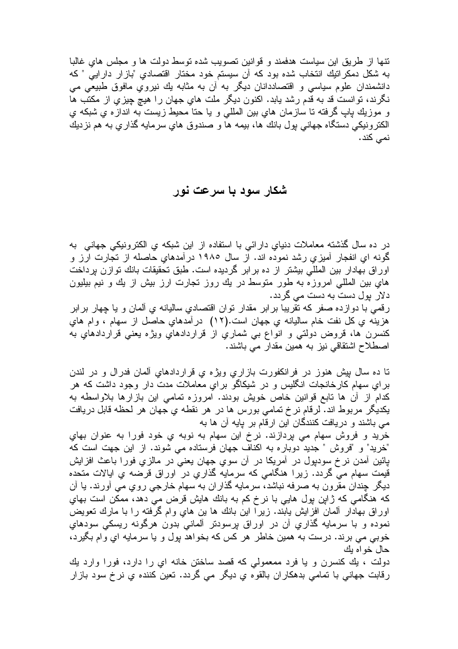تنها از ـطریق این سیاست هدفمند و قوانین تصویب شده توسط دولت ها و مجلس های غالبا به شكل دمكراتيك انتخاب شده بود كه أن سيستم خود مختار اقتصادي "بازار دارايي " كه دانشمندان علوم سیاسی و اقتصاددانان دیگر به آن به مثابه بك نیرویِ مافوق طبیعی می نگرند، توانست قد به قدم رشد بابد. اکنون دیگر ملت های جهان را هیچ چیزی از مکتب ها و موزيك پاپ گرفته تا سازمان هاي بين المللي و يا حتا محيط زيست به اندازه ي شبكه ي الكترونيكي دستگاه جهاني بول بانك ها، بيمه ها و صندوق هاي سرمايه گذاري به هم نزديك نم*ی* کند.

#### شکار سود با سرعت نور

در ده سال گذشته معاملات دنیای دارائی با استفاده از این شبکه ی الکترونیکی جهانی به گونه ای انفجار آمیزی رشد نموده اند. از سال ۱۹۸۰ درآمدهای حاصله از تجارت ارز و اوراق بهادار بین المللی بیشتر از ده برابر گردیده است. طبق تحقیقات بانك توازن برداخت هاي بين المللي امروزه به طور متوسط در يك روز نجارت ارز بيش از يك و نيم بيليون دلار پول دست به دست می گردد. رقمي با دوازده صفر كه نقريبا برابر مقدار توان اقتصادي ساليانه ي ألمان و يا چهار برابر هزينه ي كل نفت خام ساليانه ي جهان است.(١٢) در آمدهاي حاصل از سهام ، وام هاي كنسرن ها، قروض دولتي و انواع بي شماري از قراردادهاي ويژه يعني قراردادهاي به

اصطلاح اشتقاقی نیز به همین مقدار می باشند.

تا ده سال بیش هنوز در فرانکفورت بازاری ویژه ی قراردادهای آلمان فدرال و در لندن برایِ سهام کارخانجات انگلیس و در شیکاگو برایِ معاملات مدت دار وجود داشت که هر كدام از آن ها نابع قوانين خاص خويش بودند. امروزه نمامي اين بازارها بلاواسطه به يكديگر مربوط اند. لرقام نر خ تمامي بورس ها در هر نقطه ي جهان هر لحظه قابل دريافت مبی باشند و دریافت کنندگان این ارقام بر پایه آن ها به

خريد و فروش سهام مي پردازند. نرخ اين سهام به نوبه ي خود فورا به عنوان بهاي "خريد" و "فروش " جديد دوباره به اكناف جهان فرستاده مي شوند. از اين جهت است كه پائین أمدن نر خ سودپول در أمریکا در أن سوی جهان یعنی در مالزی فورا باعث افزایش قیمت سهام می گردد. زیرا هنگامی که سرمایه گذاریِ در اوراق قرضه یِ ایالات متحده ديگر چندان مقرون به صرفه نباشد، سرمايه گذاران به سهام خارجي روي مي أورند. يا آن که هنگامی که ژاپن پول هایی با نرخ کم به بانك هایش قرض می دهد، ممکن است بهاي اوراق بهادار ألمان افزایش یابند. زیرا این بانك ها بن های وام گرفته را با مارك تعویض نموده و با سرمايه گذاري أن در اوراق پرسودتر ألماني بدون هرگونه ريسكي سودهاي خوبی می برند. درست به همین خاطر هر کس که بخواهد بول و یا سرمایه ای وام بگیرد، حال خواه يك

دولت ، بك كنسرن و يا فرد ممعمولى كه قصد ساختن خانه اى را دارد، فورا وارد بك رقابت جهانی با نمامی بدهکاران بالقوه یِ دیگر می گردد. نعین کننده یِ نرخ سود بازار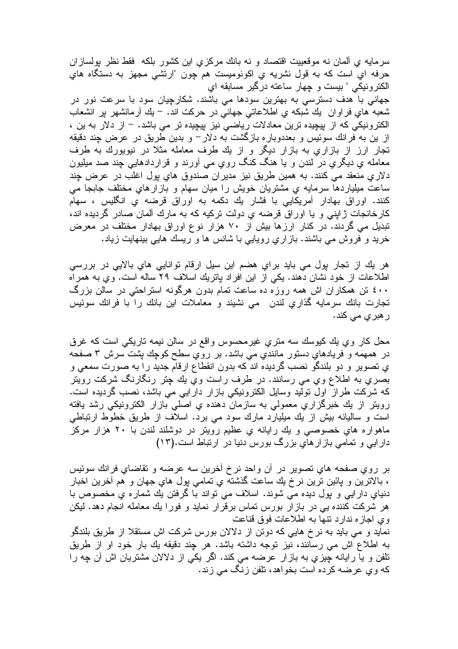سرمایه ی ألمان نه موقعییت اقتصاد و نه بانك مركزی این كشور بلكه فقط نظر بولسازان حرفه اي است كه به قول نشريه ي اكونوميست هم چون "ارتشى مجهز به دستگاه هاي الكترونيكي " بيست و چهار ساعته درگير مسابقه اي

جهانی با هدف دسترسی به بهترین سودها می باشند. شکارچیان سود با سرعت نور در شعبه هاي فراوان يك شبكه ي اطلاعاتي جهاني در حركت اند. – يك أرمانشهر پر انشعاب الكترونيكي كه از بپچيده ترين معادلات رياضي نيز پپچيده تر مي باشد. – از دلار به ين ، از بن به فرانك سوئيس و بعددوباره بازگشت به دلار – و بدين طريق در عرض چند دقيقه تجار ارز از بازاریِ به بازار دیگر و از یك طرف معامله مثلا در نیویورك به طرف معامله ي ديگري در لندن و يا هنگ کنگ روي مي آورند و قراردادهايي چند صد ميليون دلاري منعقد مي كنند. به همين طريق نيز مديران صندوق هاي پول اغلب در عرض چند ساعت میلیاردها سرمایه یِ مشتریان خویش را میان سهام و بازارهایِ مختلف جابجا می کنند. اوراق بهادار آمریکایی با فشار یك دكمه به اوراق قرضه ی انگلیس ، سهام کارخانجات ژاپنی و یا اوراق قرضه ی دولت ترکیه که به مارك آلمان صادر گردیده اند، تبدیل می گردند. در کنار ارزها بیش از ۷۰ هزار نوع اوراق بهادار مختلف در معرض خرید و فروش می باشند. بازاری رویایی با شانس ها و ریسك هایی بینهایت زیاد.

هر يك از تجار بول مي بايد براي هضم اين سيل ارقام توانايي هاي بالايي در بررسي اطلاعات از خود نشان دهند. یکی از این افراد پاتریك اسلاف ۲۹ ساله است. وی به همراه ٤٠٠ تن همکاران اش همه روزه ده ساعت تمام بدون هرگونه استراحتی در سالن بزرگ تجارت بانك سرمايه گذاري لندن ً مي نشيند و معاملات اين بانك را با فرانك سوئيس ر هبر ی می کند.

محل کار وي بك كيوسك سه متري غيرمحسوس واقع در سالن نيمه تاريكي است كه غرق در همهمه و فريادهاي دستور مانندي مي باشد. بر روي سطح كوچك پشت سرش ٣ صفحه ي تصوير و دو بلندگو نصب گرديده اند كه بدون انقطاع ارقام جديد را به صورت سمعي و بصري به اطلاع وي مي رسانند. در طرف راست وي بك چنر رنگارنگ شركت روينر که شرکت طراز اول نولید وسایل الکترونیکی بازار دارایی می باشد، نصب گردیده است. رويتر از يك خبرگزاري معمولي به سازمان دهنده ي اصلي بازار الكترونيكي رشد يافته است و سالیانه بیش از یك میلیارد مارك سود می برد. اسلاف از طریق خطوط ارتباطی ماهواره هاي خصوصـي و يك رايانه ي عظيم رويتر در دوشلند لندن با ۲۰ هزار مركز دارایی و تمامی باز ارهای بزرگ بورس دنیا در ارتباط است.(۱۳)

بر روی صفحه های تصویر در آن واحد نرخ آخرین سه عرضه و تقاضای فرانك سوئیس ، بالاترين و پائين ترين نرخ يك ساعت گذشته ي تمامي پول هاي جهان و هم أخرين اخبار دنیای دارایی و بول دیده می شوند. اسلاف می تواند با گرفتن یك شماره ی مخصوص با هر شرکت کننده یی در بازار بورس نماس برقرار نماید و فورا بك معامله انجام دهد. لیكن وى اجازه ندارد نتها به اطلاعات فوق قناعت

نماید و مبی باید به نرخ هایی که دونن از دلالان بورس شرکت اش مستقلا از طریق بلندگو به اطلاع اش می رسانند، نیز نوجه داشته باشد. هر چند دقیقه یك بار خود او از طریق نلفن و يا رايانه چيزي به بازار عرضه مي كند. اگر يكي از دلالان مشتريان اش آن چه را که وی عرضه کرده است بخواهد، تلفن زنگ می زند.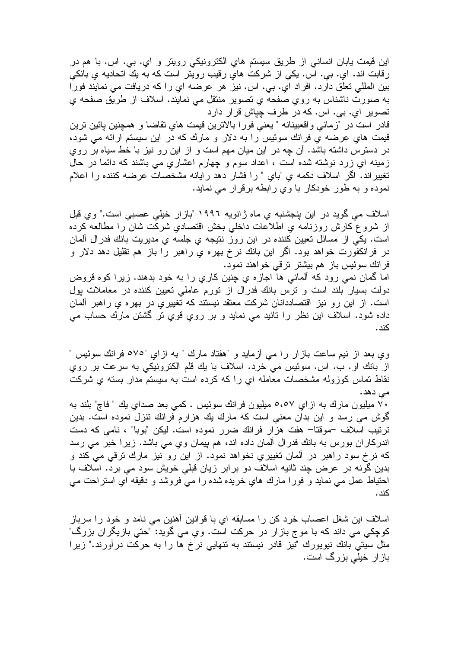این قیمت یابان انسانی از طریق سیستم های الکترونیکی رویتر و ای. بی. اس. با هم در رقابت اند. اي. بي. اس. يكي از شركت هاي رقيب رويتر است كه به يك اتحاديه ي بانكي بين المللي تعلق دارد. افراد اي. بي. اس. نيز هر عرضه اي را كه دريافت مي نمايند فورا به صورت ناشناس به روي صفحه ي تصوير منتقل مي نمايند. اسلاف از طريق صفحه ي تصوير اي. بي. اس. كه در طرف چپاش قرار دارد

قادر است در "زمانـي واقعبينانـه " يعنـي فورا بالانرين قيمت هاي نقاضـا و همچنين پائين نرين قیمت هایِ عرضه یِ فرانك سوئیس را به دلار و مارك كه در این سیستم ارائه می شود، در دسترس داشته باشد. آن چه در این میان مهم است و از این رو نیز با خط سیاه بر روی زمینه ای زرد نوشته شده است ، اعداد سوم و چهارم اعشاری می باشند که دائما در حال تغييراند. اگر اسلاف دكمه ي "باي " را فشار دهد رايانه مشخصات عرضه كننده را اعلام نموده و به طور خودكار با وي رابطه برقرار مي نمايد.

اسلاف می گوید در این ینجشنبه ی ماه ژانویه ۱۹۹۲ "بازار خیلی عصبی است." وی قبل از شروع كارش روزنامه ي اطلاعات داخلي بخش اقتصادي شركت شان را مطالعه كرده است. یکی از مسائل تعیین کننده در این روز نتیجه ی جلسه ی مدیریت بانك فدرال المان در فرانکفورت خواهد بود. اگر این بانك نرخ بهره ي راهبر را باز هم نقلیل دهد دلار و فرانك سوئيس باز هم بيشتر ترقى خواهند نمود.

اما گمان نمی رود که آلمانی ها اجازه یِ چنین کاریِ را به خود بدهند. زیرا کوه قروض دولت بسیار بلند است و نرس بانك فدرال از نورم عاملی تعیین كننده در معاملات بول است. از این رو نیز اقتصاددانان شرکت معتقد نیستند که تغییری در بهره ی راهبر آلمان داده شود. اسلاف این نظر را نائید می نماید و بر روی قوی تر گشتن مارك حساب می <u>کند .</u>

وي بعد از نيم ساعت بازار را مي أزمايد و "هفتاد مارك " به ازاي "٥٧٥ فرانك سوئيس " از بانك او . ب. اس. سوئيس مي خرد. اسلاف با يك قلم الكترونيكي به سرعت بر روي نقاط تماس كوزوله مشخصات معامله اي را كه كرده است به سيستم مدار بسته ي شركت می دهد.

۷۰ میلیون مارك به ازاي ۵،٥۷ میلیون فرانك سوئیس . كمي بعد صداي يك " فاچ" بلند به گوش می رسد و این بدان معنی است که مارك یك هزارم فرانك نتزل نموده است. بدین ترتیب اسلاف –موقتا– هفت هزار فرانك ضرر نموده است. لیكن "بوبا" ، نامی كه دست اندرکار ان بورس به بانك فدر ال آلمان داده اند، هم بيمان وي مي باشد. زير ا خبر مي رسد که نرخ سود راهبر در المان تغییریِ نخواهد نمود. از این رو نیز مارك ترقی می كند و بدین گونه در عرض چند ثانیه اسلاف دو برابر زیان قبلی خویش سود می برد. اسلاف با احتیاط عمل می نماید و فورا مارك های خریده شده را می فروشد و دقیقه ای استراحت می <u>کند .</u>

اسلاف این شغل اعصاب خرد کن را مسابقه ای با قوانین آهنین می نامد و خود را سرباز كوچكي مي داند كه با موج بازار در حركت است. وي مي گويد: "حتي بازيگران بزرگ" مثل سیتی بانك نیویورك "نیز قادر نیستند به نتهایی نرخ ها را به حركت درآورند." زیرا باز ار خبلی بزرگ است.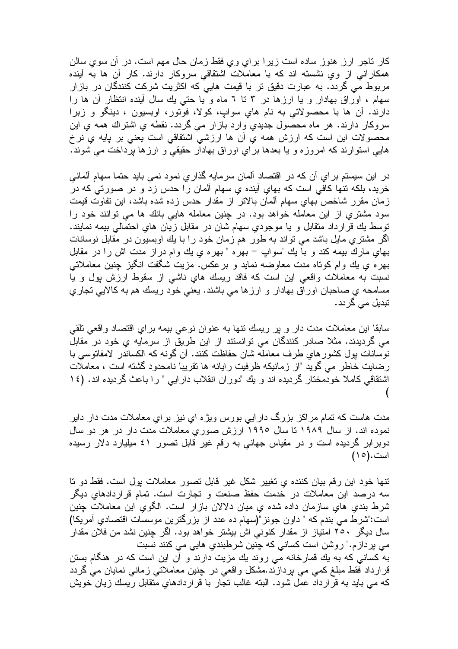کار ناجر ارز هنوز ساده است زیرا برای وی فقط زمان حال مهم است. در آن سوی سالن همکارانی از وي نشسته اند که با معاملات اشتقاقی سروکار دارند. کار أن ها به أينده مربوط می گردد. به عبارت دقیق تر با قیمت هایی که اکثریت شرکت کنندگان در بازار سهام ، اوراق بهادار و یا ارزها در ۳ تا ۲ ماه و یا حتبی یك سال أینده انتظار أن ها را دارند. أن ها با محصولاتي به نام هاي سواپ، كولا، فونور، اوبسيون ، دينگو و زبرا سروكار دارند. هر ماه محصول جديدي وارد بازار مي گردد. نقطه ي اشتراك همه ي اين محصولات این است که ارزش همه یِ أن ها ارزشی اشتقاقی است یعنی بر بایه یِ نرخ هایی استوارند که امروزه و با بعدها برای اوراق بهادار حقیقی و ارزها برداخت می شوند.

در اين سيستم براي أن كه در اقتصاد ألمان سرمايه گذاري نمود نمي بايد حتما سهام ألماني خريد، بلكه نتها كافي است كه بهاي أينده ي سهام ألمان را حدس زد و در صورتي كه در زمان مقرر شاخص بهاي سهام ألمان بالاتر از مقدار حدس زده شده باشد، اين تفاوت قيمت سود مشتري از اين معامله خواهد بود. در چنين معامله هايي بانك ها مي توانند خود را توسط يك قرارداد متقابل و يا موجودي سهام شان در مقابل زيان هاي احتمالي بيمه نمايند. اگر مشتری مایل باشد می تواند به طور ًهم زمان خود را با یك اوبسیون در مقابل نوسانات بهاي مارك بيمه كند و با يك "سواپ – بهره " بهره ي يك وام دراز مدت اش را در مقابل بهره یِ بِك وام كوناه مدت معاوضه نماید و برعكس. مزیت شگفت انگیز چنین معاملاتـی نسبت به معاملات واقعی این است که فاقد ریسك هاي ناشمی از سقوط ارزش پول و یا مسامحه ي صـاحبان اوراق بـهادار و ارزها مـي باشند. يعنـي خود ريسك هم بـه كالايـي تجاري تبدیل م*ی* گردد .

سابقا این معاملات مدت دار و پر ریسك نتها به عنوان نوعی بیمه برای اقتصاد واقعی تلقی می گردیدند. مثلا صادر کنندگان می توانستند از این طریق از سرمایه یِ خود در مقابل نوسانات بول كشورهاى طرف معامله شان حفاظت كنند. أن گونه كه الكساندر لامفاتوسى با رضایت خاطر می گوید "از زمانیکه ظرفیت رایانه ها تقریبا نامحدود گشته است ، معاملات اشتقاقی کاملا خودمختار گردیده اند و یك "دوران انقلاب دارایی " را باعث گردیده اند. (١٤

مدت هاست که تمام مراکز بزرگ دارایی بورس ویژه ای نیز برای معاملات مدت دار دایر نموده اند. از سال ۱۹۸۹ تا سال ۱۹۹۰ ارزش صوریِ معاملات مدت دار در هر دو سال دوبرابر گردیده است و در مقیاس جهانی به رقم غیر قابل نصور ٤١ میلیارد دلار رسیده است. (١٥)

تنها خود این رقم بیان کننده یِ تغییر شکل غیر قابل نصور معاملات پول است. فقط دو نا سه درصد این معاملات در خدمت حفظ صنعت و تجارت است. تمام قراردادهایِ دیگر شرط بندي هاي سازمان داده شده ي ميان دلالان بازار است. الگوي اين معاملات چنين است:"شرط می بندم که " داون جونز "(سهام ده عدد از بزرگترین موسسات اقتصادی آمریکا) سال دیگر ۲۰۰ امتیاز از مقدار کنونی اش بیشتر خواهد بود. اگر چنین نشد من فلان مقدار می بردازم." روشن است کسانی که چنین شرطبندی هایی می کنند نسبت به کسانی که به یك قمارخانه می روند یك مزیت دارند و آن این است که در هنگام بستن قرارداد فقط مبلغ کمی می بردازند.مشکل واقعی در چنین معاملاتی زمانی نمایان می گردد که می باید به قرارداد عمل شود. البته غالب تجار با قراردادهایِ متقابل ریسك زیان خویش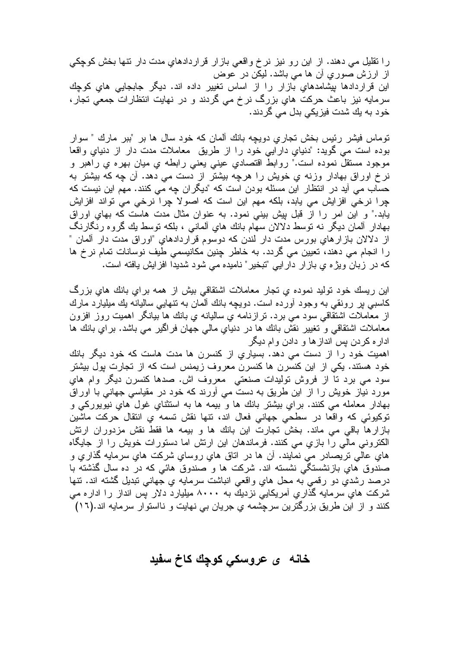را نقلیل می دهند. از این رو نیز نرخ واقعی بازار قراردادهایِ مدت دار نتها بخش کوچکی از ارزش صوریِ أن ها می باشد. لیکن در عوض این قراردادها بپشامدهایِ بازار را از اساس تغییر داده اند. دیگر جابجایی هایِ کوچك سرمایه نیز باعث حرکت های بزرگ نرخ می گردند و در نهایت انتظارات جمعی تجار، خود به بك شدت فيزيكي بدل مي گردند.

توماس فیشر رئیس بخش تجاری دویچه بانك آلمان كه خود سال ها بر "ببر مارك " سوار بوده است مي گويد: "دنياي دارايي خود را از طريق ً معاملات مدت دار از دنياي واقعا موجود مستقلَّ نموده است." روابطَّ اقتصادي عيني يعني رابطه ي ميان بهره ي راهبر و نرخ اوراق بهادار وزنه ي خويش را هرچه بيشتر از دست مي دهد. آن چه كه بيشتر به حساب می اید در انتظار این مسئله بودن است که "دیگران چه می کنند. مهم این نیست که چرا نرخی افزایش می یابد، بلکه مهم این است که اصولا چرا نرخی می تواند افزایش بابد." و این امر را از قبل بیش بینی نمود. به عنوان مثال مدت هاست که بهای اوراق بهادار آلمان دیگر نه نوسط دلالان سهام بانك های آلمانی ، بلكه نوسط بك گروه رنگارنگ از دلالان بازارهای بورس مدت دار لندن که دوسوم قراردادهای "اوراق مدت دار آلمان " را انجام می دهند، تعیین می گردد. به خاطر چنین مکانیسمی طیف نوسانات تمام نرخ ها كه در زبان ويژه ي بازار دارايي "تبخير" ناميده مي شود شديدا افزايش يافته است.

این ریسك خود نولید نموده ی نجار معاملات اشتقاقی بیش از همه برای بانك هایِ بزرگ کاسبی پر رونقی به وجود اورده است. دویچه بانك المان به نتهایی سالیانه یك میلیارد مارك از معاملات اشتقاقی سود می برد. نرازنامه یِ سالیانه یِ بانك ها بیانگر اهمیت روز افزون معاملات اشتقاقی و نغییر نقش بانك ها در دنیاي مالی جهان فراگیر می باشد. براي بانك ها ادار ه کردن پس انداز ها و دادن و ام دیگر

اهمیت خود را از دست می دهد. بسیاریِ از کنسرن ها مدت هاست که خود دیگر بانك خود هستند. یکی از این کنسرن ها کنسرن معروف زیمنس است که از تجارت پول بیشتر سود مي برد تا از فروش توليدات صنعتي معروف اش. صدها كنسرن ديگر وام هاي مورد نیاز خویش را از این طریق به دست می آورند که خود در مقیاسی جهانی با اوراق بهادار معامله مي کنند. براي بيشتر بانك ها و بيمه ها به استثناي غول هاي نيويورکي و توكيوئي كه واقعا در سطحي جهاني فعال اند، نتها نقش نسمه ي انتقال حركت ماشين بازارها باقی می ماند. بخش تجارت این بانك ها و بیمه ها فقط نقش مزدوران ارتش الکترونی مالی را بازی می کنند. فرماندهان این ارتش اما دستورات خویش را از جایگاه هاي عالمي نريصادر مي نمايند. ان ها در اناق هاي روساي شرکت هاي سرمايه گذاري و صندوق هایِ بازنشستگی نشسته اند. شرکت ها و صندوق هائی که در ده سال گذشته با درصد رشدي دو رقمي به محل هاي واقعي انباشت سرمايه ي جهاني نبديل گشته اند. نتها شرکت های سرمایه گذاری آمریکایی نزدیك به ۸۰۰۰ میلیارد دلار پس انداز را اداره می کنند و از این طریق بزرگترین سرچشمه ی جریان بی نهایت و نااستوار سرمایه اند.(۱۲)

خانه ی عروسکی کوچك کاخ سفید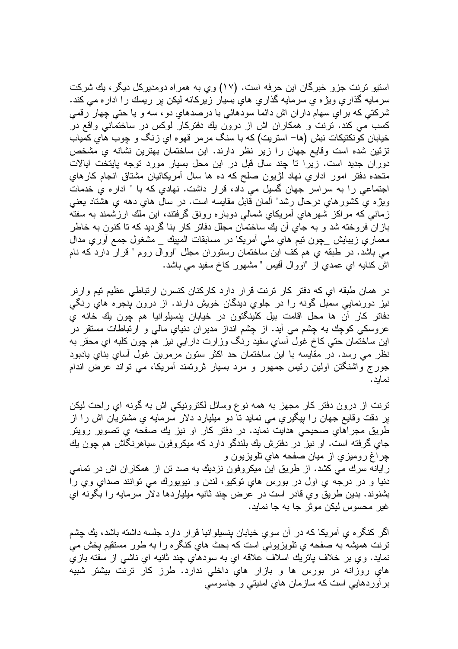استیو ترنت جزو خبرگان این حرفه است. (۱۷) وی به همراه دومدیرکل دیگر، بك شرکت سرمایه گذاری ویژه ی سرمایه گذاری های بسیار زیرکانه لیکن بر ریسك را اداره می كند. شرکتی که بر ای سهام دار ان اش دائما سودهائی با درصدهای دو ، سه و یا حتی چهار رقمی کسب می کند. ترنت و همکاران اش از درون بك دفتركار لوكس در ساختمانی واقع در خیابان کونکتیکات نبش (ها– استریت) که با سنگ مرمر قهوه ایِ زنگ و چوب هایِ کمیاب نزئین شده است وقایع جهان را زیر نظر دارند. این ساختمان بهترین نشانه یِ مشخص دوران جدید است. زیرا تا چند سال قبل در این محل بسیار مورد توجه بایتخت ایالات متحده دفتر امور اداري نهاد لژيون صلح كه ده ها سال أمريكائيان مشتاق انجام كارهاي اجتماعی را به سراسر جهان گسیل می داد، قرار داشت. نهادیِ که با " اداره یِ خدمات ويژه ي كشورهاي درحال رشد" آلمان قابل مقايسه است. در سال هاي دهه ي هشتاد بعني زمانی که مر اکز شهر های امریکای شمالی دوبار ه رونق گرفتند، این ملك ارزشمند به سفته بازان فروخته شد و به جاي آن يك ساختمان مجلل دفاتر كار بنا گرديد كه تا كنون به خاطر معماري زيبايش \_چون ننيم هاي ملي أمريكا در مسابقات المبيك \_ مشغول جمع أوري مدال مبي باشد. در طبقه ي هم كف اين ساختمان رستوران مجلل "اووال روم " قرار دارد كه نام اش کنایه ای عمدی از "اووال أفیس " مشهور کاخ سفید می باشد.

در همان طبقه اي كه دفتر كار ترنت قرار دارد كاركنان كنسرن ارتباطي عظيم تيم وارنر نیز دورنمایی سمبل گونه را در جلویِ دیدگان خویش دارند. از درون پنجره هایِ رنگی دفاتر كار أن ها محل اقامت بيل كلينگتون در خيابان بنسيلوانيا هم چون يك خانه ي عروسکی کوچك به چِشم می أید. از چِشم انداز مدیران دنیایِ مالی و ارتباطات مستقر در اين ساختمان حتي کاخ غول أساي سفيد رنگ وزارت دارايي نيز هم چون کلبه اي محقر به نظر می رسد. در مقایسه با این ساختمان حد اکثر ستون مرمرین غول أسایِ بنایِ یادبود جورج واشنگتن اولین رئیس جمهور و مرد بسیار ثرونمند أمریکا، می نواند عرض اندام نمابد.

ترنت از درون دفتر کار مجهز به همه نوع وسائل لکترونیکی اش به گونه ای راحت لیکن پر دقت وقایع جهان را بپگیری می نماید تا دو میلیارد دلار سرمایه یِ مشتریان اش را از طريق مجراهاي صحيحي هدايت نمايد. در دفتر كار او نيز يك صفحه ي تصوير رويتر جاي گرفته است. او نيز در دفترش يك بلندگو دارد كه ميكروفون سياهرنگاش هم چون يك چراغ روميزي از ميان صفحه هاي تلويزيون و رایانه سرك می كشد. از طریق این میكروفون نزدیك به صد تن از همكاران اش در تمامی دنيا و در درجه ي اول در بورس هاي توکيو، لندن و نيويورك مي توانند صداي وي را بشنوند. بدين طريق وي قادر است در عرض چند ثانيه ميلياردها دلار سرمايه را بگونه اي غير ِ محسوس ليکن موش جا به جا نمايد.

اگر کنگر ه ي امريکا که در ان سوي خيابان بنسيلوانيا قرار دارد جلسه داشته باشد، بك چشم ترنت همیشه به صفحه ی تلویزیونی است که بحث های کنگره را به طور مستقیم بخش می نمايد. وي بر خلاف پاتريك اسلاف علاقه اي به سودهاي چند ثانيه اي ناشمي از سفته بازي هاي روزانه در بورس ها و بازار هاي داخلي ندارد. طرز كار نرنت بيشتر شبيه بر اوردهایی است که سازمان های امنیتی و جاسوسی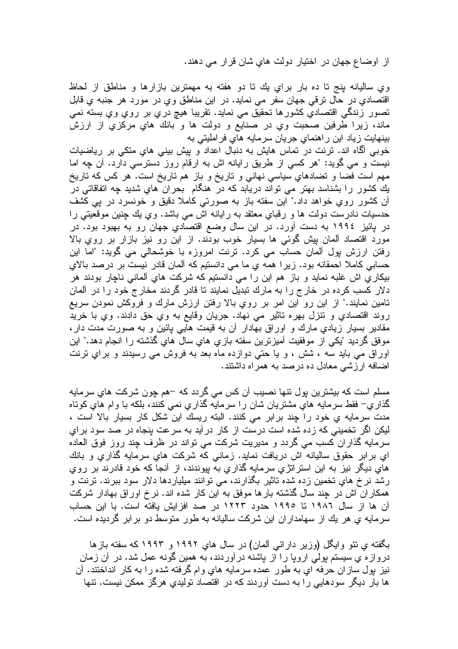از اوضاع جهان در اختیار دولت هایِ شان قرار می دهند.

وي ساليانه بنج تا ده بار براي بِك تا دو هفته به مهمترين بازارها و مناطق از لحاظ اقتصادي در حال نرقي جهان سفر مي نمايد. در اين مناطق وي در مورد هر جنبه ي قابل تصور زندگی اقتصادیِ کشورها تحقیق می نماید. نقریبا هیچ دریِ بر رویِ ویِ بسته نمی ماند، زیرا طَّرفین صحبت وي در صنایع و دولت ها و بانك هاي مركزي از ارزش بینهایت زیاد این راهنمای جریان سرمایه های فراملیتی به

خوبي أگاه اند. ترنت در تماس هايش به دنبال اعداد و پيش بيني هاي متكي بر رياضيات نيست و مي گويد: "هر كسي از طريق رايانه اش به ارقام روز دسترسي دارد. أن چه اما مهم است فضا و نضادهاي سياسي نهاني و ناريخ و باز هم ناريخ است. هر كس كه ناريخ يك كشور را بشناسد بهتر مي تواند دريابد كه در هنگام بحران هاي شديد چه اتفاقاتي در أن كشور روي خواهد داد." اين سفته باز به صورتي كاملا دقيق و خونسرد در پي كشف حدسیات نادرست دولت ها و رقبای معتقد به رایانه اش می باشد. وی بك چنین موقعیتی را در پائیز ۱۹۹۶ به دست آورد. در این سال وضع اقتصادیِ جهان رو به بهبود بود. در مورد اقتصاد ألمان بيش گوئي ها بسيار خوب بودند. از اين رو نيز بازار بر روي بالا رفتن ارزش پول المان حساب می کرد. ترنت امروزه با خوشحالی می گوید: "اما این حسابی کاملا احمقانه بود. زیرا همه ی ما می دانستیم که المان قادر نیست بر درصد بالای بیکاریِ اش غلبه نماید و باز هم این را می دانستیم که شرکت هایِ آلمانی ناچار بودند هر دلار کسب کرده در خارج را به مارك تبدیل نمایند تا قادر گردند مخارج خود را در آلمان تامین نمایند." از این رو این امر بر روی بالا رفتن ارزش مارك و فروكش نمودن سریع روند اقتصادي و نتزل بهره ناثير مي نهاد. جريان وقايع به وي حق دادند. وي با خريد مقادیر بسیار زیادیِ مارك و اوراق بهادار آن به قیمت هایی بائین و به صورت مدت دار، موفق گردید "یکی از موفقیت آمیزترین سفته بازی های سال های گذشته را انجام دهد." این اوراق می باید سه ، شش ، و یا حتی دوازده ماه بعد به فروش می رسیدند و برای نرنت اضافه ارزشی معادل ده درصد به همر اه داشتند.

مسلم است که بیشترین پول نتها نصیب آن کس می گردد که –هم چون شرکت هایِ سرمایه گذاري– فقط سرمايه هاي مشتريان شان را سرمايه گذاري نمي كنند، بلكه با وام هاي كوناه مدت سرمايه ي خود را چند برابر مي كنند. البته ريسك اين شكل كار بسيار بالا است ، ليکن اگر تخميني که زده شده است درست از کار درآيد به سرعت پنجاه در صد سود براي سرمایه گذاران کسب می گردد و مدیریت شرکت می تواند در ظرف چند روز فوق العاده اي برابر حقوق ساليانه اش دريافت نمايد. زماني كه شركت هاي سرمايه گذاري و بانك های دیگر نیز به این استراتژی سرمایه گذاری به بپوندند، از أنجا که خود قادرند بر روی رشد نرخ هایِ تخمین زده شده تاثیر بگذارند، می توانند میلیاردها دلار سود ببرند. ترنت و همکار ان اش در چند سال گذشته بار ها موفق به این کار شده اند. نرخ اور اق بهادار شرکت آن ها از سال ۱۹۸۲ تا ۱۹۹۰ حدود ۱۲۲۳ در صد افزایش یافته است. با این حساب سر مایه ی هر یك از سهامدار ان این شركت سالیانه به طور متوسط دو بر ابر گردیده است.

بگفته ی نئو وایگل (وزیر دارائی آلمان) در سال های ۱۹۹۲ و ۱۹۹۳ که سفته بازها دروازه ي سيستم پولمي اروپا را از پاشنه درآوردند، به همين گونه عمل شد. در آن زمان نيز پول سازان حرفه اي به طور عمده سرمايه هاي وام گرفته شده را به كار انداختند. آن ها بار دیگر سودهایی را به دست آوردند که در اقتصاد تولیدیِ هرگز ممکن نیست. تنها